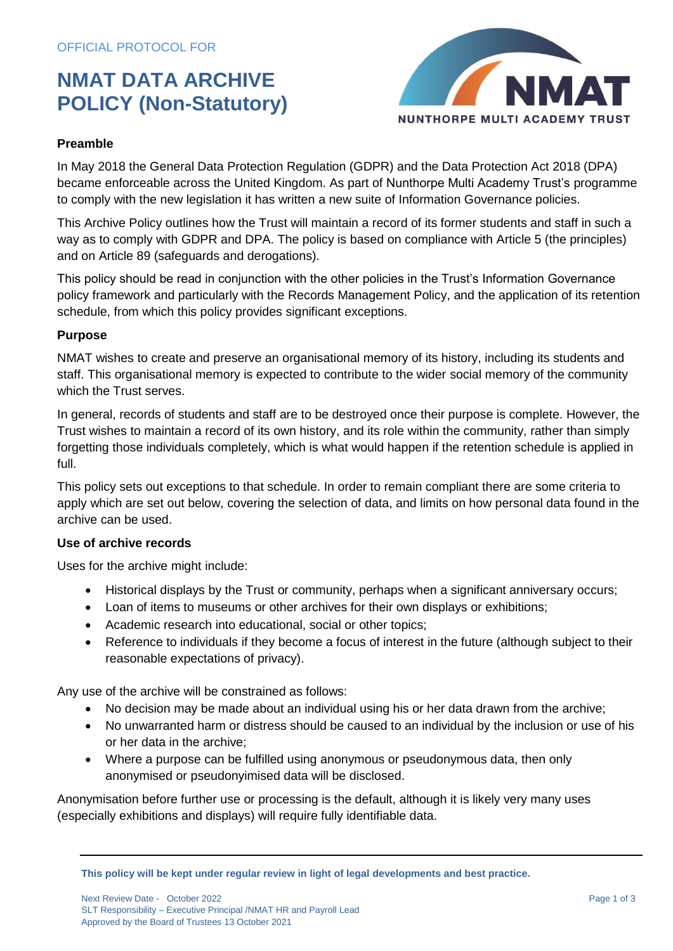## **NMAT DATA ARCHIVE POLICY (Non-Statutory)**



### **Preamble**

In May 2018 the General Data Protection Regulation (GDPR) and the Data Protection Act 2018 (DPA) became enforceable across the United Kingdom. As part of Nunthorpe Multi Academy Trust's programme to comply with the new legislation it has written a new suite of Information Governance policies.

This Archive Policy outlines how the Trust will maintain a record of its former students and staff in such a way as to comply with GDPR and DPA. The policy is based on compliance with Article 5 (the principles) and on Article 89 (safeguards and derogations).

This policy should be read in conjunction with the other policies in the Trust's Information Governance policy framework and particularly with the Records Management Policy, and the application of its retention schedule, from which this policy provides significant exceptions.

#### **Purpose**

NMAT wishes to create and preserve an organisational memory of its history, including its students and staff. This organisational memory is expected to contribute to the wider social memory of the community which the Trust serves.

In general, records of students and staff are to be destroyed once their purpose is complete. However, the Trust wishes to maintain a record of its own history, and its role within the community, rather than simply forgetting those individuals completely, which is what would happen if the retention schedule is applied in full.

This policy sets out exceptions to that schedule. In order to remain compliant there are some criteria to apply which are set out below, covering the selection of data, and limits on how personal data found in the archive can be used.

#### **Use of archive records**

Uses for the archive might include:

- Historical displays by the Trust or community, perhaps when a significant anniversary occurs;
- Loan of items to museums or other archives for their own displays or exhibitions;
- Academic research into educational, social or other topics;
- Reference to individuals if they become a focus of interest in the future (although subject to their reasonable expectations of privacy).

Any use of the archive will be constrained as follows:

- No decision may be made about an individual using his or her data drawn from the archive;
- No unwarranted harm or distress should be caused to an individual by the inclusion or use of his or her data in the archive;
- Where a purpose can be fulfilled using anonymous or pseudonymous data, then only anonymised or pseudonyimised data will be disclosed.

Anonymisation before further use or processing is the default, although it is likely very many uses (especially exhibitions and displays) will require fully identifiable data.

**This policy will be kept under regular review in light of legal developments and best practice.**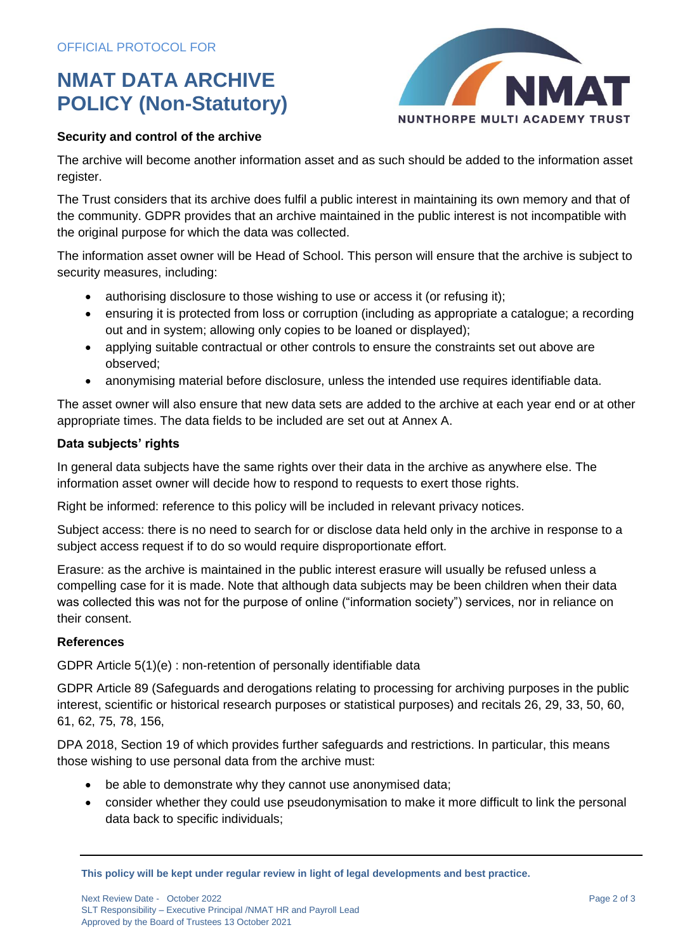# **NMAT DATA ARCHIVE POLICY (Non-Statutory)**



## **Security and control of the archive**

The archive will become another information asset and as such should be added to the information asset register.

The Trust considers that its archive does fulfil a public interest in maintaining its own memory and that of the community. GDPR provides that an archive maintained in the public interest is not incompatible with the original purpose for which the data was collected.

The information asset owner will be Head of School. This person will ensure that the archive is subject to security measures, including:

- authorising disclosure to those wishing to use or access it (or refusing it);
- ensuring it is protected from loss or corruption (including as appropriate a catalogue; a recording out and in system; allowing only copies to be loaned or displayed);
- applying suitable contractual or other controls to ensure the constraints set out above are observed;
- anonymising material before disclosure, unless the intended use requires identifiable data.

The asset owner will also ensure that new data sets are added to the archive at each year end or at other appropriate times. The data fields to be included are set out at Annex A.

### **Data subjects' rights**

In general data subjects have the same rights over their data in the archive as anywhere else. The information asset owner will decide how to respond to requests to exert those rights.

Right be informed: reference to this policy will be included in relevant privacy notices.

Subject access: there is no need to search for or disclose data held only in the archive in response to a subject access request if to do so would require disproportionate effort.

Erasure: as the archive is maintained in the public interest erasure will usually be refused unless a compelling case for it is made. Note that although data subjects may be been children when their data was collected this was not for the purpose of online ("information society") services, nor in reliance on their consent.

#### **References**

GDPR Article 5(1)(e) : non-retention of personally identifiable data

GDPR Article 89 (Safeguards and derogations relating to processing for archiving purposes in the public interest, scientific or historical research purposes or statistical purposes) and recitals 26, 29, 33, 50, 60, 61, 62, 75, 78, 156,

DPA 2018, Section 19 of which provides further safeguards and restrictions. In particular, this means those wishing to use personal data from the archive must:

- be able to demonstrate why they cannot use anonymised data;
- consider whether they could use pseudonymisation to make it more difficult to link the personal data back to specific individuals;

**This policy will be kept under regular review in light of legal developments and best practice.**